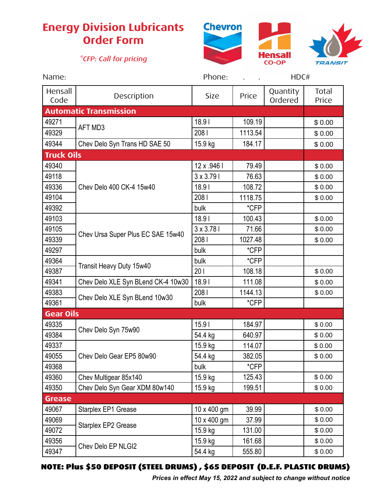## **Energy Division Lubricants Order Form**

## *\*CFP: Call for pricing*





| Name:                         |                                    | Phone:          | HDC#    |                     |                |  |  |  |
|-------------------------------|------------------------------------|-----------------|---------|---------------------|----------------|--|--|--|
| Hensall<br>Code               | Description                        | <b>Size</b>     | Price   | Quantity<br>Ordered | Total<br>Price |  |  |  |
| <b>Automatic Transmission</b> |                                    |                 |         |                     |                |  |  |  |
| 49271                         | AFT MD3                            | 18.91           | 109.19  |                     | \$0.00         |  |  |  |
| 49329                         |                                    | 2081            | 1113.54 |                     | \$0.00         |  |  |  |
| 49344                         | Chev Delo Syn Trans HD SAE 50      | 15.9 kg         | 184.17  |                     | \$0.00         |  |  |  |
| <b>Truck Oils</b>             |                                    |                 |         |                     |                |  |  |  |
| 49340                         | Chev Delo 400 CK-4 15w40           | 12 x .946 l     | 79.49   |                     | \$0.00         |  |  |  |
| 49118                         |                                    | 3 x 3.79 l      | 76.63   |                     | \$0.00         |  |  |  |
| 49336                         |                                    | 18.91           | 108.72  |                     | \$0.00         |  |  |  |
| 49104                         |                                    | 2081            | 1118.75 |                     | \$0.00         |  |  |  |
| 49392                         |                                    | bulk            | *CFP    |                     |                |  |  |  |
| 49103                         | Chev Ursa Super Plus EC SAE 15w40  | 18.91           | 100.43  |                     | \$0.00         |  |  |  |
| 49105                         |                                    | $3 \times 3.78$ | 71.66   |                     | \$0.00         |  |  |  |
| 49339                         |                                    | 2081            | 1027.48 |                     | \$0.00         |  |  |  |
| 49297                         |                                    | bulk            | *CFP    |                     |                |  |  |  |
| 49364                         | Transit Heavy Duty 15w40           | bulk            | *CFP    |                     |                |  |  |  |
| 49387                         |                                    | 201             | 108.18  |                     | \$0.00         |  |  |  |
| 49341                         | Chev Delo XLE Syn BLend CK-4 10w30 | 18.91           | 111.08  |                     | \$0.00         |  |  |  |
| 49383                         | Chev Delo XLE Syn BLend 10w30      | 2081            | 1144.13 |                     | \$0.00         |  |  |  |
| 49361                         |                                    | bulk            | *CFP    |                     |                |  |  |  |
| <b>Gear Oils</b>              |                                    |                 |         |                     |                |  |  |  |
| 49335                         | Chev Delo Syn 75w90                | 15.91           | 184.97  |                     | \$0.00         |  |  |  |
| 49384                         |                                    | 54.4 kg         | 640.97  |                     | \$0.00         |  |  |  |
| 49337                         | Chev Delo Gear EP5 80w90           | 15.9 kg         | 114.07  |                     | \$0.00         |  |  |  |
| 49055                         |                                    | 54.4 kg         | 382.05  |                     | \$0.00         |  |  |  |
| 49368                         |                                    | bulk            | *CFP    |                     |                |  |  |  |
| 49360                         | Chev Multigear 85x140              | 15.9 kg         | 125.43  |                     | \$0.00         |  |  |  |
| 49350                         | Chev Delo Syn Gear XDM 80w140      | 15.9 kg         | 199.51  |                     | \$0.00         |  |  |  |
| <b>Grease</b>                 |                                    |                 |         |                     |                |  |  |  |
| 49067                         | Starplex EP1 Grease                | 10 x 400 gm     | 39.99   |                     | \$0.00         |  |  |  |
| 49069                         | Starplex EP2 Grease                | 10 x 400 gm     | 37.99   |                     | \$0.00         |  |  |  |
| 49072                         |                                    | 15.9 kg         | 131.00  |                     | \$0.00         |  |  |  |
| 49356                         | Chev Delo EP NLGI2                 | 15.9 kg         | 161.68  |                     | \$0.00         |  |  |  |
| 49347                         |                                    | 54.4 kg         | 555.80  |                     | \$0.00         |  |  |  |

## NOTE: Plus \$50 DEPOSIT (STEEL DRUMS) , \$65 DEPOSIT (D.E.F. PLASTIC DRUMS)

*Prices in effect May 15, 2022 and subject to change without notice*